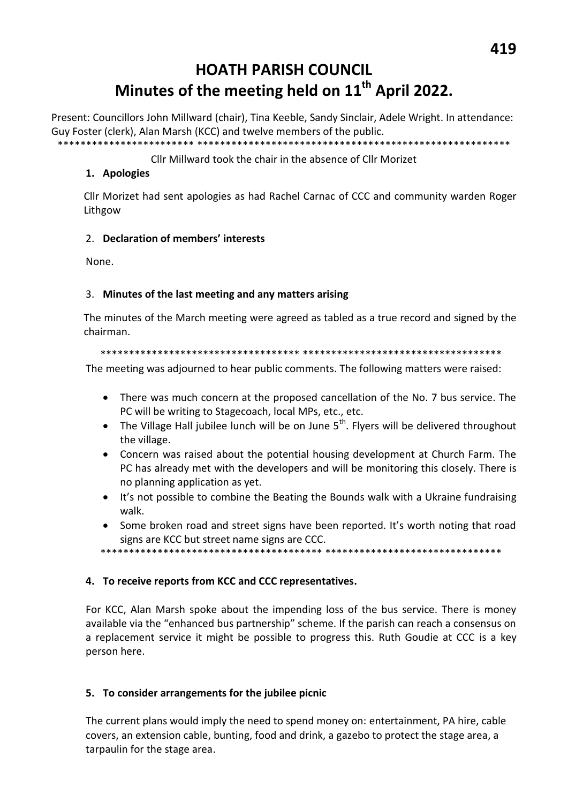# **HOATH PARISH COUNCIL** Minutes of the meeting held on 11<sup>th</sup> April 2022.

Present: Councillors John Millward (chair), Tina Keeble, Sandy Sinclair, Adele Wright. In attendance: Guy Foster (clerk), Alan Marsh (KCC) and twelve members of the public. \*\*\*\*\*\*\*\*\*\*\*\*\*

## Cllr Millward took the chair in the absence of Cllr Morizet

## 1. Apologies

Cllr Morizet had sent apologies as had Rachel Carnac of CCC and community warden Roger Lithgow

## 2. Declaration of members' interests

None.

### 3. Minutes of the last meeting and any matters arising

The minutes of the March meeting were agreed as tabled as a true record and signed by the chairman.

#### 

The meeting was adjourned to hear public comments. The following matters were raised:

- There was much concern at the proposed cancellation of the No. 7 bus service. The PC will be writing to Stagecoach, local MPs, etc., etc.
- The Village Hall jubilee lunch will be on June 5<sup>th</sup>. Flyers will be delivered throughout the village.
- Concern was raised about the potential housing development at Church Farm. The PC has already met with the developers and will be monitoring this closely. There is no planning application as yet.
- $\bullet$ It's not possible to combine the Beating the Bounds walk with a Ukraine fundraising walk.
- Some broken road and street signs have been reported. It's worth noting that road signs are KCC but street name signs are CCC.
- 

### 4. To receive reports from KCC and CCC representatives.

For KCC, Alan Marsh spoke about the impending loss of the bus service. There is money available via the "enhanced bus partnership" scheme. If the parish can reach a consensus on a replacement service it might be possible to progress this. Ruth Goudie at CCC is a key person here.

# 5. To consider arrangements for the jubilee picnic

The current plans would imply the need to spend money on: entertainment, PA hire, cable covers, an extension cable, bunting, food and drink, a gazebo to protect the stage area, a tarpaulin for the stage area.